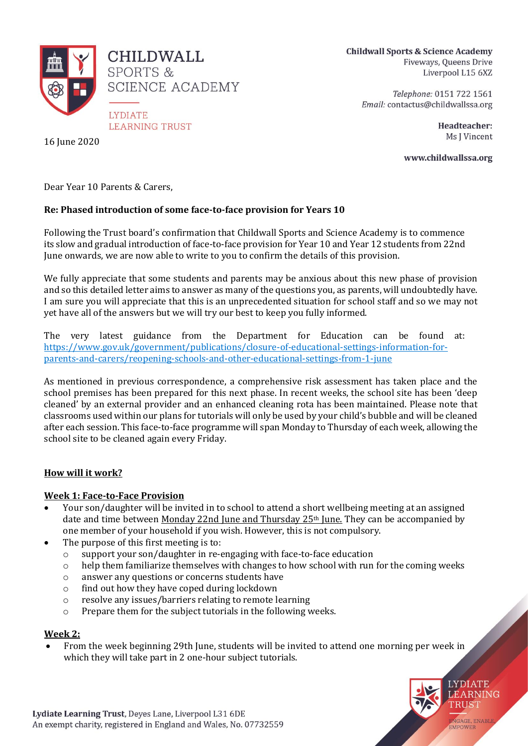

CHILDWALL. **SPORTS & SCIENCE ACADEMY** 

**LYDIATE LEARNING TRUST** 

16 June 2020

**Childwall Sports & Science Academy** Fiveways, Queens Drive Liverpool L15 6XZ

> Telephone: 0151 722 1561 Email: contactus@childwallssa.org

> > Headteacher: Ms J Vincent

www.childwallssa.org

Dear Year 10 Parents & Carers,

# **Re: Phased introduction of some face-to-face provision for Years 10**

Following the Trust board's confirmation that Childwall Sports and Science Academy is to commence its slow and gradual introduction of face-to-face provision for Year 10 and Year 12 students from 22nd June onwards, we are now able to write to you to confirm the details of this provision.

We fully appreciate that some students and parents may be anxious about this new phase of provision and so this detailed letter aims to answer as many of the questions you, as parents, will undoubtedly have. I am sure you will appreciate that this is an unprecedented situation for school staff and so we may not yet have all of the answers but we will try our best to keep you fully informed.

The very latest guidance from the Department for Education can be found at: [https://www.gov.uk/government/publications/closure-of-educational-settings-information-for](https://www.gov.uk/government/publications/closure-of-educational-settings-information-for-parents-and-carers/reopening-schools-and-other-educational-settings-from-1-june)[parents-and-carers/reopening-schools-and-other-educational-settings-from-1-june](https://www.gov.uk/government/publications/closure-of-educational-settings-information-for-parents-and-carers/reopening-schools-and-other-educational-settings-from-1-june)

As mentioned in previous correspondence, a comprehensive risk assessment has taken place and the school premises has been prepared for this next phase. In recent weeks, the school site has been 'deep cleaned' by an external provider and an enhanced cleaning rota has been maintained. Please note that classrooms used within our plans for tutorials will only be used by your child's bubble and will be cleaned after each session. This face-to-face programme will span Monday to Thursday of each week, allowing the school site to be cleaned again every Friday.

### **How will it work?**

### **Week 1: Face-to-Face Provision**

- Your son/daughter will be invited in to school to attend a short wellbeing meeting at an assigned date and time between Monday 22nd June and Thursday 25th June. They can be accompanied by one member of your household if you wish. However, this is not compulsory.
- The purpose of this first meeting is to:
	- $\circ$  support your son/daughter in re-engaging with face-to-face education
	- o help them familiarize themselves with changes to how school with run for the coming weeks
	- o answer any questions or concerns students have
	- o find out how they have coped during lockdown
	- o resolve any issues/barriers relating to remote learning
	- o Prepare them for the subject tutorials in the following weeks.

### **Week 2:**

 From the week beginning 29th June, students will be invited to attend one morning per week in which they will take part in 2 one-hour subject tutorials.

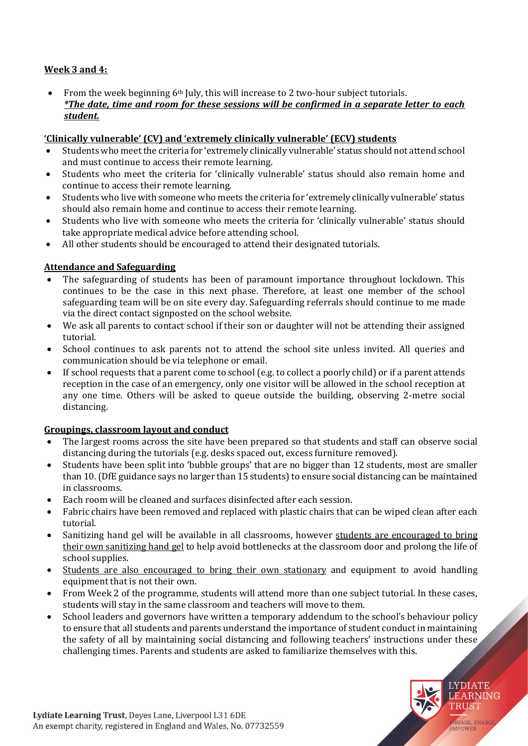# **Week 3 and 4:**

 From the week beginning 6th July, this will increase to 2 two-hour subject tutorials. *\*The date, time and room for these sessions will be confirmed in a separate letter to each student.*

# **'Clinically vulnerable' (CV) and 'extremely clinically vulnerable' (ECV) students**

- Students who meet the criteria for 'extremely clinically vulnerable' status should not attend school and must continue to access their remote learning.
- Students who meet the criteria for 'clinically vulnerable' status should also remain home and continue to access their remote learning.
- Students who live with someone who meets the criteria for 'extremely clinically vulnerable' status should also remain home and continue to access their remote learning.
- Students who live with someone who meets the criteria for 'clinically vulnerable' status should take appropriate medical advice before attending school.
- All other students should be encouraged to attend their designated tutorials.

# **Attendance and Safeguarding**

- The safeguarding of students has been of paramount importance throughout lockdown. This continues to be the case in this next phase. Therefore, at least one member of the school safeguarding team will be on site every day. Safeguarding referrals should continue to me made via the direct contact signposted on the school website.
- We ask all parents to contact school if their son or daughter will not be attending their assigned tutorial.
- School continues to ask parents not to attend the school site unless invited. All queries and communication should be via telephone or email.
- If school requests that a parent come to school (e.g. to collect a poorly child) or if a parent attends reception in the case of an emergency, only one visitor will be allowed in the school reception at any one time. Others will be asked to queue outside the building, observing 2-metre social distancing.

### **Groupings, classroom layout and conduct**

- The largest rooms across the site have been prepared so that students and staff can observe social distancing during the tutorials (e.g. desks spaced out, excess furniture removed).
- Students have been split into 'bubble groups' that are no bigger than 12 students, most are smaller than 10.(DfE guidance says no larger than 15 students) to ensure social distancing can be maintained in classrooms.
- Each room will be cleaned and surfaces disinfected after each session.
- Fabric chairs have been removed and replaced with plastic chairs that can be wiped clean after each tutorial.
- Sanitizing hand gel will be available in all classrooms, however students are encouraged to bring their own sanitizing hand gel to help avoid bottlenecks at the classroom door and prolong the life of school supplies.
- Students are also encouraged to bring their own stationary and equipment to avoid handling equipment that is not their own.
- From Week 2 of the programme, students will attend more than one subject tutorial. In these cases, students will stay in the same classroom and teachers will move to them.
- School leaders and governors have written a temporary addendum to the school's behaviour policy to ensure that all students and parents understand the importance of student conduct in maintaining the safety of all by maintaining social distancing and following teachers' instructions under these challenging times. Parents and students are asked to familiarize themselves with this.

**LYDIATE LEARNING** TRUST

NGAGE, ENABLI

EMPOWEE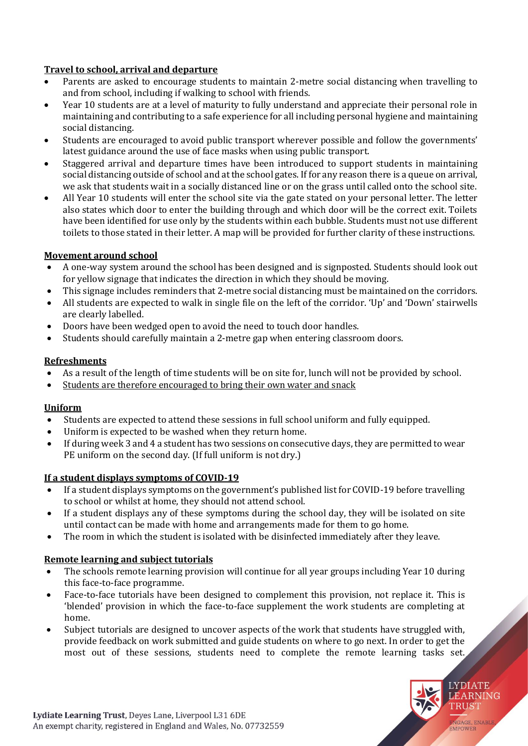# **Travel to school, arrival and departure**

- Parents are asked to encourage students to maintain 2-metre social distancing when travelling to and from school, including if walking to school with friends.
- Year 10 students are at a level of maturity to fully understand and appreciate their personal role in maintaining and contributing to a safe experience for all including personal hygiene and maintaining social distancing.
- Students are encouraged to avoid public transport wherever possible and follow the governments' latest guidance around the use of face masks when using public transport.
- Staggered arrival and departure times have been introduced to support students in maintaining social distancing outside of school and at the school gates. If for any reason there is a queue on arrival, we ask that students wait in a socially distanced line or on the grass until called onto the school site.
- All Year 10 students will enter the school site via the gate stated on your personal letter. The letter also states which door to enter the building through and which door will be the correct exit. Toilets have been identified for use only by the students within each bubble. Students must not use different toilets to those stated in their letter. A map will be provided for further clarity of these instructions.

# **Movement around school**

- A one-way system around the school has been designed and is signposted. Students should look out for yellow signage that indicates the direction in which they should be moving.
- This signage includes reminders that 2-metre social distancing must be maintained on the corridors.
- All students are expected to walk in single file on the left of the corridor. 'Up' and 'Down' stairwells are clearly labelled.
- Doors have been wedged open to avoid the need to touch door handles.
- Students should carefully maintain a 2-metre gap when entering classroom doors.

### **Refreshments**

- As a result of the length of time students will be on site for, lunch will not be provided by school.
- Students are therefore encouraged to bring their own water and snack

# **Uniform**

- Students are expected to attend these sessions in full school uniform and fully equipped.
- Uniform is expected to be washed when they return home.
- If during week 3 and 4 a student has two sessions on consecutive days, they are permitted to wear PE uniform on the second day. (If full uniform is not dry.)

# **If a student displays symptoms of COVID-19**

- If a student displays symptoms on the government's published list for COVID-19 before travelling to school or whilst at home, they should not attend school.
- If a student displays any of these symptoms during the school day, they will be isolated on site until contact can be made with home and arrangements made for them to go home.
- The room in which the student is isolated with be disinfected immediately after they leave.

# **Remote learning and subject tutorials**

- The schools remote learning provision will continue for all year groups including Year 10 during this face-to-face programme.
- Face-to-face tutorials have been designed to complement this provision, not replace it. This is 'blended' provision in which the face-to-face supplement the work students are completing at home.
- Subject tutorials are designed to uncover aspects of the work that students have struggled with, provide feedback on work submitted and guide students on where to go next. In order to get the most out of these sessions, students need to complete the remote learning tasks set.